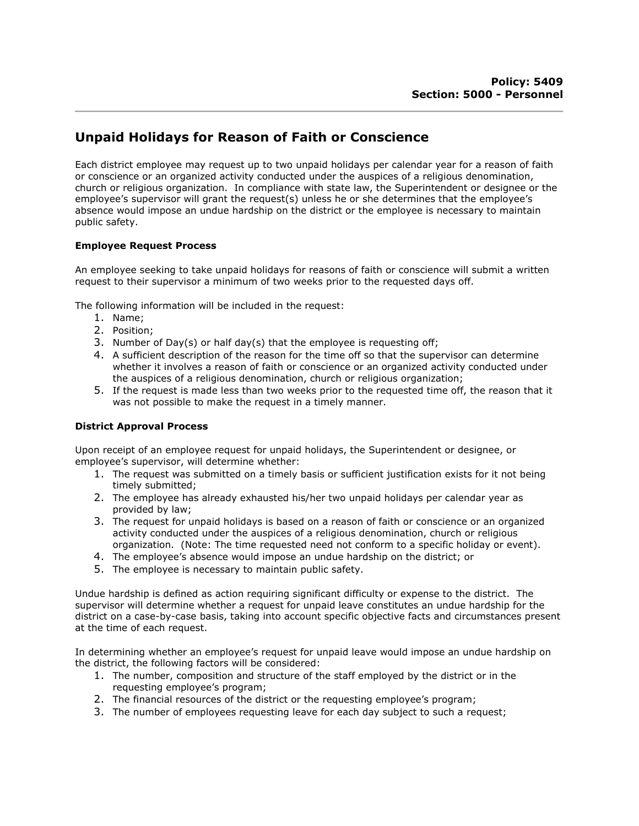## Unpaid Holidays for Reason of Faith or Conscience

Each district employee may request up to two unpaid holidays per calendar year for a reason of faith or conscience or an organized activity conducted under the auspices of a religious denomination, church or religious organization. In compliance with state law, the Superintendent or designee or the employee's supervisor will grant the request(s) unless he or she determines that the employee's absence would impose an undue hardship on the district or the employee is necessary to maintain public safety.

## Employee Request Process

An employee seeking to take unpaid holidays for reasons of faith or conscience will submit a written request to their supervisor a minimum of two weeks prior to the requested days off.

The following information will be included in the request:

- 1. Name;
- 2. Position;
- 3. Number of Day(s) or half day(s) that the employee is requesting off;
- 4. A sufficient description of the reason for the time off so that the supervisor can determine whether it involves a reason of faith or conscience or an organized activity conducted under the auspices of a religious denomination, church or religious organization;
- 5. If the request is made less than two weeks prior to the requested time off, the reason that it was not possible to make the request in a timely manner.

## District Approval Process

Upon receipt of an employee request for unpaid holidays, the Superintendent or designee, or employee's supervisor, will determine whether:

- 1. The request was submitted on a timely basis or sufficient justification exists for it not being timely submitted;
- 2. The employee has already exhausted his/her two unpaid holidays per calendar year as provided by law;
- 3. The request for unpaid holidays is based on a reason of faith or conscience or an organized activity conducted under the auspices of a religious denomination, church or religious organization. (Note: The time requested need not conform to a specific holiday or event).
- 4. The employee's absence would impose an undue hardship on the district; or
- 5. The employee is necessary to maintain public safety.

Undue hardship is defined as action requiring significant difficulty or expense to the district. The supervisor will determine whether a request for unpaid leave constitutes an undue hardship for the district on a case-by-case basis, taking into account specific objective facts and circumstances present at the time of each request.

In determining whether an employee's request for unpaid leave would impose an undue hardship on the district, the following factors will be considered:

- 1. The number, composition and structure of the staff employed by the district or in the requesting employee's program;
- 2. The financial resources of the district or the requesting employee's program;
- 3. The number of employees requesting leave for each day subject to such a request;